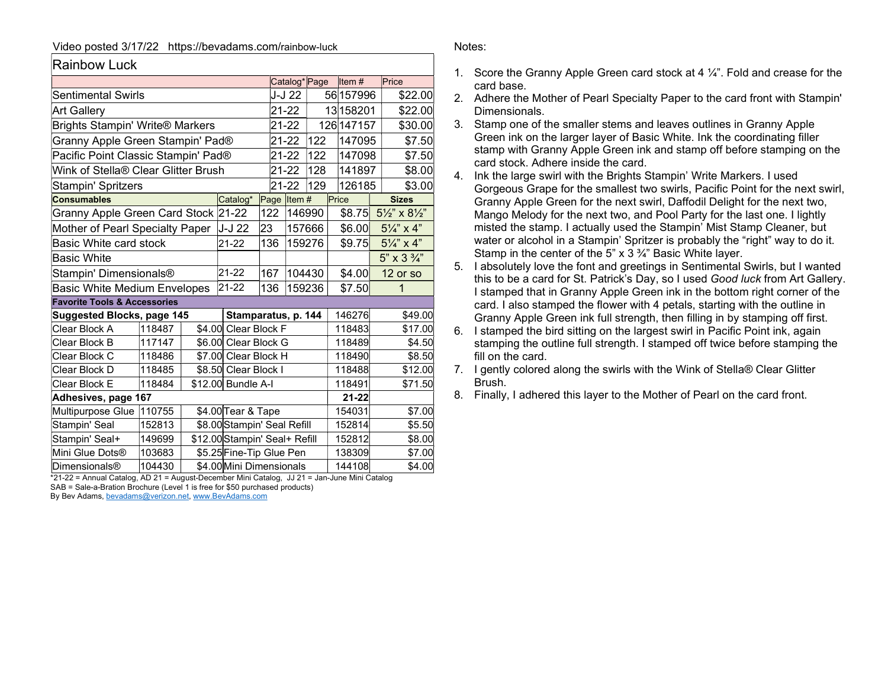## Video posted 3/17/22 https://bevadams.com/rainbow-luck

| <b>Rainbow Luck</b> |
|---------------------|
|                     |

|                                         |        |  |                               |                             | Catalog*Page        |        |  | Item#      |                                     | Price        |  |
|-----------------------------------------|--------|--|-------------------------------|-----------------------------|---------------------|--------|--|------------|-------------------------------------|--------------|--|
| Sentimental Swirls                      |        |  |                               |                             | J-J 22              |        |  | 56 157996  |                                     | \$22.00      |  |
| <b>Art Gallery</b>                      |        |  |                               |                             | 21-22               |        |  | 13 158 201 |                                     | \$22.00      |  |
| <b>Brights Stampin' Write® Markers</b>  |        |  |                               |                             | 21-22               |        |  | 126 147157 |                                     | \$30.00      |  |
| Granny Apple Green Stampin' Pad®        |        |  | 21-22                         |                             | 122                 | 147095 |  | \$7.50     |                                     |              |  |
| Pacific Point Classic Stampin' Pad®     |        |  | 21-22                         |                             | 122                 | 147098 |  | \$7.50     |                                     |              |  |
| Wink of Stella® Clear Glitter Brush     |        |  | 21-22                         |                             | 128                 | 141897 |  | \$8.00     |                                     |              |  |
| Stampin' Spritzers                      |        |  | 21-22                         |                             | 129                 | 126185 |  | \$3.00     |                                     |              |  |
| <b>Consumables</b>                      |        |  | Catalog*                      |                             | Page Item #         |        |  | Price      |                                     | <b>Sizes</b> |  |
| Granny Apple Green Card Stock 21-22     |        |  |                               |                             | 122                 | 146990 |  | \$8.75     | $5\frac{1}{2}$ " x $8\frac{1}{2}$ " |              |  |
| Mother of Pearl Specialty Paper         |        |  | J-J 22                        | 23                          |                     | 157666 |  | \$6.00     | $5\frac{1}{4}$ x 4"                 |              |  |
| Basic White card stock                  |        |  | 21-22                         |                             | 136                 | 159276 |  | \$9.75     | $5\frac{1}{4}$ " x 4"               |              |  |
| <b>Basic White</b>                      |        |  |                               |                             |                     |        |  |            | 5" x 3 3/4"                         |              |  |
| Stampin' Dimensionals <sup>®</sup>      |        |  | 21-22                         |                             | 167                 | 104430 |  | \$4.00     |                                     | 12 or so     |  |
| <b>Basic White Medium Envelopes</b>     |        |  | 21-22                         |                             | 136                 | 159236 |  | \$7.50     |                                     | 1            |  |
| <b>Favorite Tools &amp; Accessories</b> |        |  |                               |                             |                     |        |  |            |                                     |              |  |
| <b>Suggested Blocks, page 145</b>       |        |  |                               |                             | Stamparatus, p. 144 |        |  | 146276     |                                     | \$49.00      |  |
| Clear Block A                           | 118487 |  | \$4.00 Clear Block F          |                             |                     |        |  | 118483     | \$17.00                             |              |  |
| Clear Block B                           | 117147 |  |                               | \$6.00 Clear Block G        |                     |        |  | 118489     | \$4.50                              |              |  |
| Clear Block C                           | 118486 |  |                               | \$7.00 Clear Block H        |                     |        |  | 118490     | \$8.50                              |              |  |
| Clear Block D                           | 118485 |  |                               | \$8.50 Clear Block I        |                     |        |  | 118488     |                                     | \$12.00      |  |
| Clear Block E                           | 118484 |  | \$12.00 Bundle A-I            |                             |                     |        |  | 118491     | \$71.50                             |              |  |
| Adhesives, page 167                     |        |  |                               |                             |                     |        |  | $21 - 22$  |                                     |              |  |
| Multipurpose Glue                       | 110755 |  | \$4.00 Tear & Tape            |                             |                     |        |  | 154031     |                                     | \$7.00       |  |
| Stampin' Seal                           | 152813 |  |                               | \$8.00 Stampin' Seal Refill |                     |        |  | 152814     |                                     | \$5.50       |  |
| Stampin' Seal+                          | 149699 |  | \$12.00 Stampin' Seal+ Refill |                             |                     |        |  | 152812     |                                     | \$8.00       |  |
| Mini Glue Dots®                         | 103683 |  |                               | \$5.25 Fine-Tip Glue Pen    |                     |        |  |            | 138309                              | \$7.00       |  |
| <b>Dimensionals®</b>                    | 104430 |  | \$4.00 Mini Dimensionals      |                             |                     |        |  | 144108     |                                     | \$4.00       |  |

\*21-22 = Annual Catalog, AD 21 = August-December Mini Catalog, JJ 21 = Jan-June Mini Catalog SAB = Sale-a-Bration Brochure (Level 1 is free for \$50 purchased products)

By Bev Adams, bevadams@verizon.net, www.BevAdams.com

## Notes:

- 1. Score the Granny Apple Green card stock at 4 ¼". Fold and crease for the card base.
- 2. Adhere the Mother of Pearl Specialty Paper to the card front with Stampin' Dimensionals.
- 3. Stamp one of the smaller stems and leaves outlines in Granny Apple Green ink on the larger layer of Basic White. Ink the coordinating filler stamp with Granny Apple Green ink and stamp off before stamping on the card stock. Adhere inside the card.
- 4. Ink the large swirl with the Brights Stampin' Write Markers. I used Gorgeous Grape for the smallest two swirls, Pacific Point for the next swirl, Granny Apple Green for the next swirl, Daffodil Delight for the next two, Mango Melody for the next two, and Pool Party for the last one. I lightly misted the stamp. I actually used the Stampin' Mist Stamp Cleaner, but water or alcohol in a Stampin' Spritzer is probably the "right" way to do it. Stamp in the center of the 5" x 3 ¾" Basic White layer.
- 5. I absolutely love the font and greetings in Sentimental Swirls, but I wanted this to be a card for St. Patrick's Day, so I used Good luck from Art Gallery. I stamped that in Granny Apple Green ink in the bottom right corner of the card. I also stamped the flower with 4 petals, starting with the outline in Granny Apple Green ink full strength, then filling in by stamping off first.
- 6. I stamped the bird sitting on the largest swirl in Pacific Point ink, again stamping the outline full strength. I stamped off twice before stamping the fill on the card.
- 7. I gently colored along the swirls with the Wink of Stella® Clear Glitter Brush.
- 8. Finally, I adhered this layer to the Mother of Pearl on the card front.